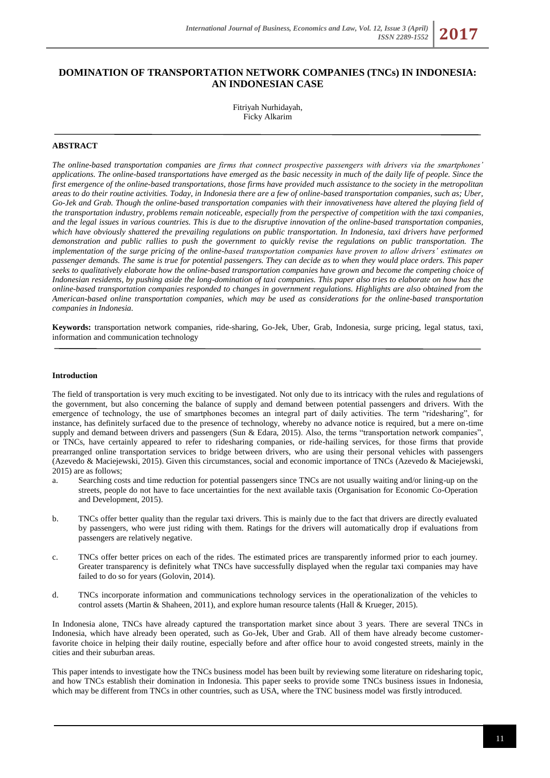# **DOMINATION OF TRANSPORTATION NETWORK COMPANIES (TNCs) IN INDONESIA: AN INDONESIAN CASE**

Fitriyah Nurhidayah, Ficky Alkarim

# **ABSTRACT**

*The online-based transportation companies are firms that connect prospective passengers with drivers via the smartphones' applications. The online-based transportations have emerged as the basic necessity in much of the daily life of people. Since the first emergence of the online-based transportations, those firms have provided much assistance to the society in the metropolitan areas to do their routine activities. Today, in Indonesia there are a few of online-based transportation companies, such as; Uber, Go-Jek and Grab. Though the online-based transportation companies with their innovativeness have altered the playing field of the transportation industry, problems remain noticeable, especially from the perspective of competition with the taxi companies, and the legal issues in various countries. This is due to the disruptive innovation of the online-based transportation companies, which have obviously shattered the prevailing regulations on public transportation. In Indonesia, taxi drivers have performed demonstration and public rallies to push the government to quickly revise the regulations on public transportation. The implementation of the surge pricing of the online-based transportation companies have proven to allow drivers' estimates on passenger demands. The same is true for potential passengers. They can decide as to when they would place orders. This paper seeks to qualitatively elaborate how the online-based transportation companies have grown and become the competing choice of Indonesian residents, by pushing aside the long-domination of taxi companies. This paper also tries to elaborate on how has the online-based transportation companies responded to changes in government regulations. Highlights are also obtained from the American-based online transportation companies, which may be used as considerations for the online-based transportation companies in Indonesia.*

**Keywords:** transportation network companies, ride-sharing, Go-Jek, Uber, Grab, Indonesia, surge pricing, legal status, taxi, information and communication technology

#### **Introduction**

The field of transportation is very much exciting to be investigated. Not only due to its intricacy with the rules and regulations of the government, but also concerning the balance of supply and demand between potential passengers and drivers. With the emergence of technology, the use of smartphones becomes an integral part of daily activities. The term "ridesharing", for instance, has definitely surfaced due to the presence of technology, whereby no advance notice is required, but a mere on-time supply and demand between drivers and passengers (Sun & Edara, 2015). Also, the terms "transportation network companies", or TNCs, have certainly appeared to refer to ridesharing companies, or ride-hailing services, for those firms that provide prearranged online transportation services to bridge between drivers, who are using their personal vehicles with passengers (Azevedo & Maciejewski, 2015). Given this circumstances, social and economic importance of TNCs (Azevedo & Maciejewski, 2015) are as follows;

- a. Searching costs and time reduction for potential passengers since TNCs are not usually waiting and/or lining-up on the streets, people do not have to face uncertainties for the next available taxis (Organisation for Economic Co-Operation and Development, 2015).
- b. TNCs offer better quality than the regular taxi drivers. This is mainly due to the fact that drivers are directly evaluated by passengers, who were just riding with them. Ratings for the drivers will automatically drop if evaluations from passengers are relatively negative.
- c. TNCs offer better prices on each of the rides. The estimated prices are transparently informed prior to each journey. Greater transparency is definitely what TNCs have successfully displayed when the regular taxi companies may have failed to do so for years (Golovin, 2014).
- d. TNCs incorporate information and communications technology services in the operationalization of the vehicles to control assets (Martin & Shaheen, 2011), and explore human resource talents (Hall & Krueger, 2015).

In Indonesia alone, TNCs have already captured the transportation market since about 3 years. There are several TNCs in Indonesia, which have already been operated, such as Go-Jek, Uber and Grab. All of them have already become customerfavorite choice in helping their daily routine, especially before and after office hour to avoid congested streets, mainly in the cities and their suburban areas.

This paper intends to investigate how the TNCs business model has been built by reviewing some literature on ridesharing topic, and how TNCs establish their domination in Indonesia. This paper seeks to provide some TNCs business issues in Indonesia, which may be different from TNCs in other countries, such as USA, where the TNC business model was firstly introduced.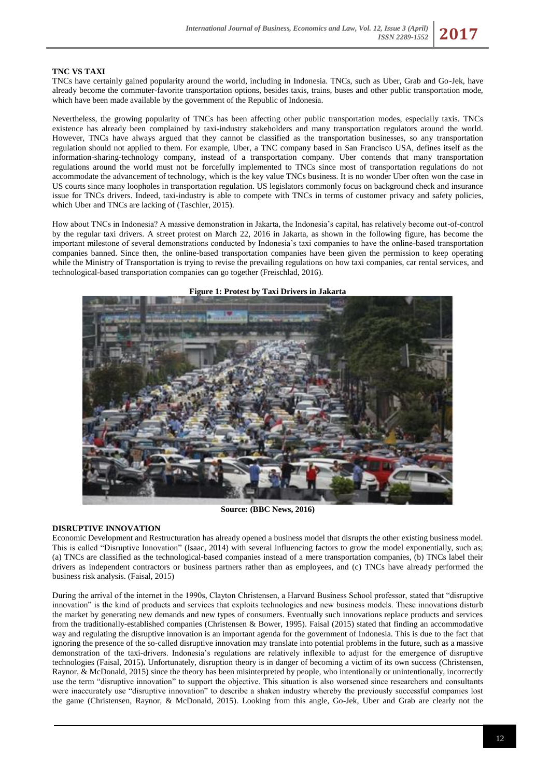# **TNC VS TAXI**

TNCs have certainly gained popularity around the world, including in Indonesia. TNCs, such as Uber, Grab and Go-Jek, have already become the commuter-favorite transportation options, besides taxis, trains, buses and other public transportation mode, which have been made available by the government of the Republic of Indonesia.

Nevertheless, the growing popularity of TNCs has been affecting other public transportation modes, especially taxis. TNCs existence has already been complained by taxi-industry stakeholders and many transportation regulators around the world. However, TNCs have always argued that they cannot be classified as the transportation businesses, so any transportation regulation should not applied to them. For example, Uber, a TNC company based in San Francisco USA, defines itself as the information-sharing-technology company, instead of a transportation company. Uber contends that many transportation regulations around the world must not be forcefully implemented to TNCs since most of transportation regulations do not accommodate the advancement of technology, which is the key value TNCs business. It is no wonder Uber often won the case in US courts since many loopholes in transportation regulation. US legislators commonly focus on background check and insurance issue for TNCs drivers. Indeed, taxi-industry is able to compete with TNCs in terms of customer privacy and safety policies, which Uber and TNCs are lacking of (Taschler, 2015).

How about TNCs in Indonesia? A massive demonstration in Jakarta, the Indonesia's capital, has relatively become out-of-control by the regular taxi drivers. A street protest on March 22, 2016 in Jakarta, as shown in the following figure, has become the important milestone of several demonstrations conducted by Indonesia's taxi companies to have the online-based transportation companies banned. Since then, the online-based transportation companies have been given the permission to keep operating while the Ministry of Transportation is trying to revise the prevailing regulations on how taxi companies, car rental services, and technological-based transportation companies can go together (Freischlad, 2016).



**Figure 1: Protest by Taxi Drivers in Jakarta** 

**Source: (BBC News, 2016)**

#### **DISRUPTIVE INNOVATION**

Economic Development and Restructuration has already opened a business model that disrupts the other existing business model. This is called "Disruptive Innovation" (Isaac, 2014) with several influencing factors to grow the model exponentially, such as; (a) TNCs are classified as the technological-based companies instead of a mere transportation companies, (b) TNCs label their drivers as independent contractors or business partners rather than as employees, and (c) TNCs have already performed the business risk analysis. (Faisal, 2015)

During the arrival of the internet in the 1990s, Clayton Christensen, a Harvard Business School professor, stated that "disruptive innovation" is the kind of products and services that exploits technologies and new business models. These innovations disturb the market by generating new demands and new types of consumers. Eventually such innovations replace products and services from the traditionally-established companies (Christensen & Bower, 1995). Faisal (2015) stated that finding an accommodative way and regulating the disruptive innovation is an important agenda for the government of Indonesia. This is due to the fact that ignoring the presence of the so-called disruptive innovation may translate into potential problems in the future, such as a massive demonstration of the taxi-drivers. Indonesia's regulations are relatively inflexible to adjust for the emergence of disruptive technologies (Faisal, 2015)**.** Unfortunately, disruption theory is in danger of becoming a victim of its own success (Christensen, Raynor, & McDonald, 2015) since the theory has been misinterpreted by people, who intentionally or unintentionally, incorrectly use the term "disruptive innovation" to support the objective. This situation is also worsened since researchers and consultants were inaccurately use "disruptive innovation" to describe a shaken industry whereby the previously successful companies lost the game (Christensen, Raynor, & McDonald, 2015). Looking from this angle, Go-Jek, Uber and Grab are clearly not the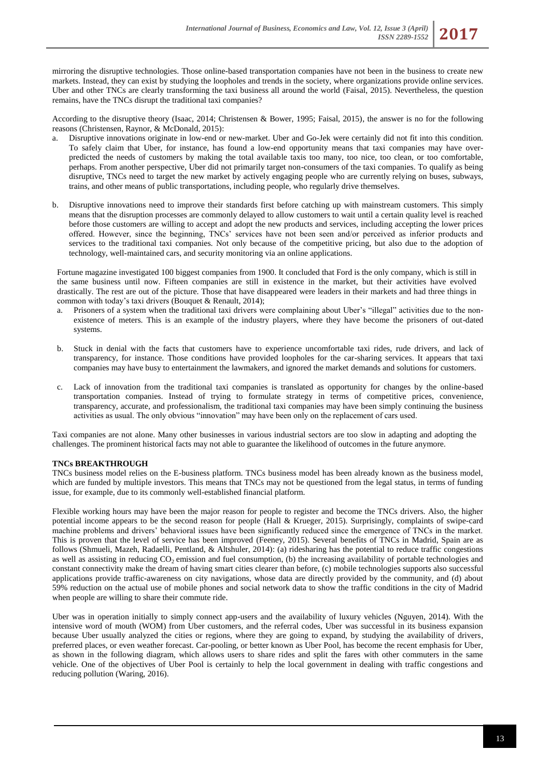mirroring the disruptive technologies. Those online-based transportation companies have not been in the business to create new markets. Instead, they can exist by studying the loopholes and trends in the society, where organizations provide online services. Uber and other TNCs are clearly transforming the taxi business all around the world (Faisal, 2015). Nevertheless, the question remains, have the TNCs disrupt the traditional taxi companies?

According to the disruptive theory (Isaac, 2014; Christensen & Bower, 1995; Faisal, 2015), the answer is no for the following reasons (Christensen, Raynor, & McDonald, 2015):

- Disruptive innovations originate in low-end or new-market. Uber and Go-Jek were certainly did not fit into this condition. To safely claim that Uber, for instance, has found a low-end opportunity means that taxi companies may have overpredicted the needs of customers by making the total available taxis too many, too nice, too clean, or too comfortable, perhaps. From another perspective, Uber did not primarily target non-consumers of the taxi companies. To qualify as being disruptive, TNCs need to target the new market by actively engaging people who are currently relying on buses, subways, trains, and other means of public transportations, including people, who regularly drive themselves.
- b. Disruptive innovations need to improve their standards first before catching up with mainstream customers. This simply means that the disruption processes are commonly delayed to allow customers to wait until a certain quality level is reached before those customers are willing to accept and adopt the new products and services, including accepting the lower prices offered. However, since the beginning, TNCs' services have not been seen and/or perceived as inferior products and services to the traditional taxi companies. Not only because of the competitive pricing, but also due to the adoption of technology, well-maintained cars, and security monitoring via an online applications.

Fortune magazine investigated 100 biggest companies from 1900. It concluded that Ford is the only company, which is still in the same business until now. Fifteen companies are still in existence in the market, but their activities have evolved drastically. The rest are out of the picture. Those that have disappeared were leaders in their markets and had three things in common with today's taxi drivers (Bouquet & Renault, 2014);

- a. Prisoners of a system when the traditional taxi drivers were complaining about Uber's "illegal" activities due to the nonexistence of meters. This is an example of the industry players, where they have become the prisoners of out-dated systems.
- b. Stuck in denial with the facts that customers have to experience uncomfortable taxi rides, rude drivers, and lack of transparency, for instance. Those conditions have provided loopholes for the car-sharing services. It appears that taxi companies may have busy to entertainment the lawmakers, and ignored the market demands and solutions for customers.
- c. Lack of innovation from the traditional taxi companies is translated as opportunity for changes by the online-based transportation companies. Instead of trying to formulate strategy in terms of competitive prices, convenience, transparency, accurate, and professionalism, the traditional taxi companies may have been simply continuing the business activities as usual. The only obvious "innovation" may have been only on the replacement of cars used.

Taxi companies are not alone. Many other businesses in various industrial sectors are too slow in adapting and adopting the challenges. The prominent historical facts may not able to guarantee the likelihood of outcomes in the future anymore.

# **TNCs BREAKTHROUGH**

TNCs business model relies on the E-business platform. TNCs business model has been already known as the business model, which are funded by multiple investors. This means that TNCs may not be questioned from the legal status, in terms of funding issue, for example, due to its commonly well-established financial platform.

Flexible working hours may have been the major reason for people to register and become the TNCs drivers. Also, the higher potential income appears to be the second reason for people (Hall & Krueger, 2015). Surprisingly, complaints of swipe-card machine problems and drivers' behavioral issues have been significantly reduced since the emergence of TNCs in the market. This is proven that the level of service has been improved (Feeney, 2015). Several benefits of TNCs in Madrid, Spain are as follows (Shmueli, Mazeh, Radaelli, Pentland, & Altshuler, 2014): (a) ridesharing has the potential to reduce traffic congestions as well as assisting in reducing  $CO<sub>2</sub>$  emission and fuel consumption, (b) the increasing availability of portable technologies and constant connectivity make the dream of having smart cities clearer than before, (c) mobile technologies supports also successful applications provide traffic-awareness on city navigations, whose data are directly provided by the community, and (d) about 59% reduction on the actual use of mobile phones and social network data to show the traffic conditions in the city of Madrid when people are willing to share their commute ride.

Uber was in operation initially to simply connect app-users and the availability of luxury vehicles (Nguyen, 2014). With the intensive word of mouth (WOM) from Uber customers, and the referral codes, Uber was successful in its business expansion because Uber usually analyzed the cities or regions, where they are going to expand, by studying the availability of drivers, preferred places, or even weather forecast. Car-pooling, or better known as Uber Pool, has become the recent emphasis for Uber, as shown in the following diagram, which allows users to share rides and split the fares with other commuters in the same vehicle. One of the objectives of Uber Pool is certainly to help the local government in dealing with traffic congestions and reducing pollution (Waring, 2016).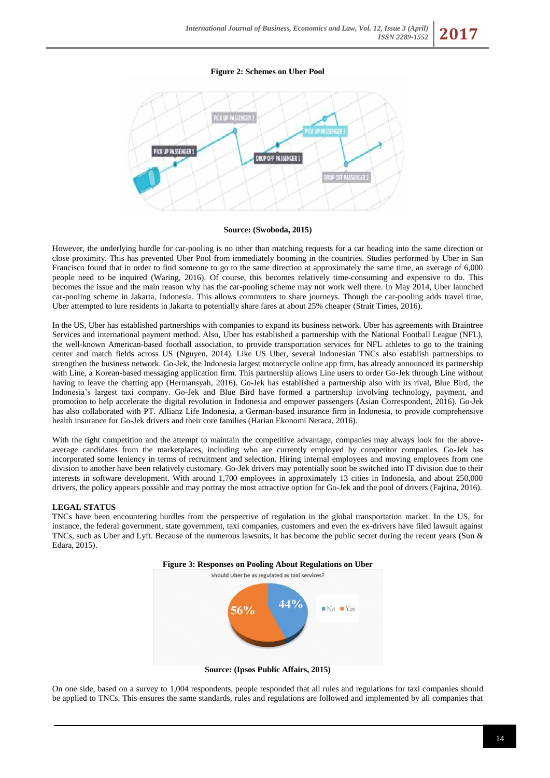**Figure 2: Schemes on Uber Pool**



#### **Source: (Swoboda, 2015)**

However, the underlying hurdle for car-pooling is no other than matching requests for a car heading into the same direction or close proximity. This has prevented Uber Pool from immediately booming in the countries. Studies performed by Uber in San Francisco found that in order to find someone to go to the same direction at approximately the same time, an average of 6,000 people need to be inquired (Waring, 2016). Of course, this becomes relatively time-consuming and expensive to do. This becomes the issue and the main reason why has the car-pooling scheme may not work well there. In May 2014, Uber launched car-pooling scheme in Jakarta, Indonesia. This allows commuters to share journeys. Though the car-pooling adds travel time, Uber attempted to lure residents in Jakarta to potentially share fares at about 25% cheaper (Strait Times, 2016).

In the US, Uber has established partnerships with companies to expand its business network. Uber has agreements with Braintree Services and international payment method. Also, Uber has established a partnership with the National Football League (NFL), the well-known American-based football association, to provide transportation services for NFL athletes to go to the training center and match fields across US (Nguyen, 2014). Like US Uber, several Indonesian TNCs also establish partnerships to strengthen the business network. Go-Jek, the Indonesia largest motorcycle online app firm, has already announced its partnership with Line, a Korean-based messaging application firm. This partnership allows Line users to order Go-Jek through Line without having to leave the chatting app (Hermansyah, 2016). Go-Jek has established a partnership also with its rival, Blue Bird, the Indonesia's largest taxi company. Go-Jek and Blue Bird have formed a partnership involving technology, payment, and promotion to help accelerate the digital revolution in Indonesia and empower passengers (Asian Correspondent, 2016). Go-Jek has also collaborated with PT. Allianz Life Indonesia, a German-based insurance firm in Indonesia, to provide comprehensive health insurance for Go-Jek drivers and their core families (Harian Ekonomi Neraca, 2016).

With the tight competition and the attempt to maintain the competitive advantage, companies may always look for the aboveaverage candidates from the marketplaces, including who are currently employed by competitor companies. Go-Jek has incorporated some leniency in terms of recruitment and selection. Hiring internal employees and moving employees from one division to another have been relatively customary. Go-Jek drivers may potentially soon be switched into IT division due to their interests in software development. With around 1,700 employees in approximately 13 cities in Indonesia, and about 250,000 drivers, the policy appears possible and may portray the most attractive option for Go-Jek and the pool of drivers (Fajrina, 2016).

#### **LEGAL STATUS**

TNCs have been encountering hurdles from the perspective of regulation in the global transportation market. In the US, for instance, the federal government, state government, taxi companies, customers and even the ex-drivers have filed lawsuit against TNCs, such as Uber and Lyft. Because of the numerous lawsuits, it has become the public secret during the recent years (Sun & Edara, 2015).



**Source: (Ipsos Public Affairs, 2015)**

On one side, based on a survey to 1,004 respondents, people responded that all rules and regulations for taxi companies should be applied to TNCs. This ensures the same standards, rules and regulations are followed and implemented by all companies that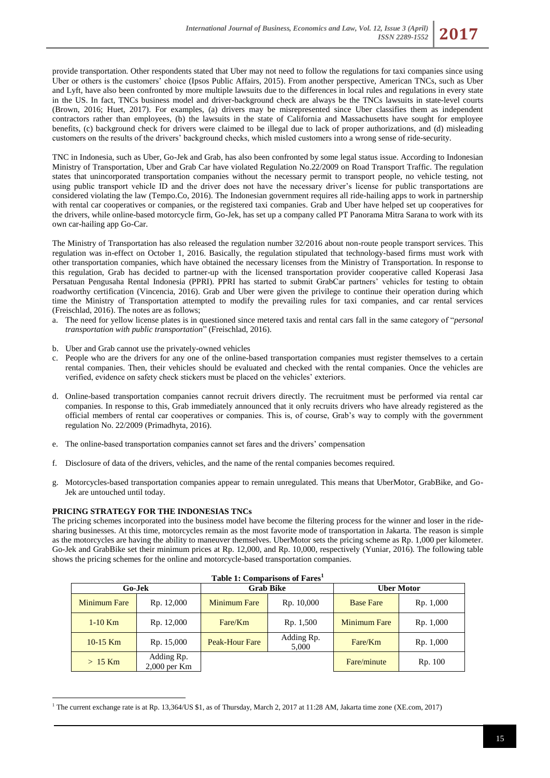provide transportation. Other respondents stated that Uber may not need to follow the regulations for taxi companies since using Uber or others is the customers' choice (Ipsos Public Affairs, 2015). From another perspective, American TNCs, such as Uber and Lyft, have also been confronted by more multiple lawsuits due to the differences in local rules and regulations in every state in the US. In fact, TNCs business model and driver-background check are always be the TNCs lawsuits in state-level courts (Brown, 2016; Huet, 2017). For examples, (a) drivers may be misrepresented since Uber classifies them as independent contractors rather than employees, (b) the lawsuits in the state of California and Massachusetts have sought for employee benefits, (c) background check for drivers were claimed to be illegal due to lack of proper authorizations, and (d) misleading customers on the results of the drivers' background checks, which misled customers into a wrong sense of ride-security.

TNC in Indonesia, such as Uber, Go-Jek and Grab, has also been confronted by some legal status issue. According to Indonesian Ministry of Transportation, Uber and Grab Car have violated Regulation No.22/2009 on Road Transport Traffic. The regulation states that unincorporated transportation companies without the necessary permit to transport people, no vehicle testing, not using public transport vehicle ID and the driver does not have the necessary driver's license for public transportations are considered violating the law (Tempo.Co, 2016). The Indonesian government requires all ride-hailing apps to work in partnership with rental car cooperatives or companies, or the registered taxi companies. Grab and Uber have helped set up cooperatives for the drivers, while online-based motorcycle firm, Go-Jek, has set up a company called PT Panorama Mitra Sarana to work with its own car-hailing app Go-Car.

The Ministry of Transportation has also released the regulation number 32/2016 about non-route people transport services. This regulation was in-effect on October 1, 2016. Basically, the regulation stipulated that technology-based firms must work with other transportation companies, which have obtained the necessary licenses from the Ministry of Transportation. In response to this regulation, Grab has decided to partner-up with the licensed transportation provider cooperative called Koperasi Jasa Persatuan Pengusaha Rental Indonesia (PPRI). PPRI has started to submit GrabCar partners' vehicles for testing to obtain roadworthy certification (Vincencia, 2016). Grab and Uber were given the privilege to continue their operation during which time the Ministry of Transportation attempted to modify the prevailing rules for taxi companies, and car rental services (Freischlad, 2016). The notes are as follows;

- a. The need for yellow license plates is in questioned since metered taxis and rental cars fall in the same category of "*personal transportation with public transportation*" (Freischlad, 2016).
- b. Uber and Grab cannot use the privately-owned vehicles
- c. People who are the drivers for any one of the online-based transportation companies must register themselves to a certain rental companies. Then, their vehicles should be evaluated and checked with the rental companies. Once the vehicles are verified, evidence on safety check stickers must be placed on the vehicles' exteriors.
- d. Online-based transportation companies cannot recruit drivers directly. The recruitment must be performed via rental car companies. In response to this, Grab immediately announced that it only recruits drivers who have already registered as the official members of rental car cooperatives or companies. This is, of course, Grab's way to comply with the government regulation No. 22/2009 (Primadhyta, 2016).
- e. The online-based transportation companies cannot set fares and the drivers' compensation
- f. Disclosure of data of the drivers, vehicles, and the name of the rental companies becomes required.
- g. Motorcycles-based transportation companies appear to remain unregulated. This means that UberMotor, GrabBike, and Go-Jek are untouched until today.

# **PRICING STRATEGY FOR THE INDONESIAS TNCs**

The pricing schemes incorporated into the business model have become the filtering process for the winner and loser in the ridesharing businesses. At this time, motorcycles remain as the most favorite mode of transportation in Jakarta. The reason is simple as the motorcycles are having the ability to maneuver themselves. UberMotor sets the pricing scheme as Rp. 1,000 per kilometer. Go-Jek and GrabBike set their minimum prices at Rp. 12,000, and Rp. 10,000, respectively (Yuniar, 2016). The following table shows the pricing schemes for the online and motorcycle-based transportation companies.

| Table 1: Comparisons of Fares <sup>1</sup> |                              |                       |                     |                   |           |  |  |  |  |
|--------------------------------------------|------------------------------|-----------------------|---------------------|-------------------|-----------|--|--|--|--|
| Go-Jek                                     |                              | <b>Grab Bike</b>      |                     | <b>Uber Motor</b> |           |  |  |  |  |
| <b>Minimum Fare</b>                        | Rp. 12,000                   | <b>Minimum Fare</b>   | Rp. 10,000          | <b>Base Fare</b>  | Rp. 1,000 |  |  |  |  |
| $1-10$ Km                                  | Rp. 12,000                   | Fare/Km               | Rp. 1,500           | Minimum Fare      | Rp. 1,000 |  |  |  |  |
| $10-15$ Km                                 | Rp. 15,000                   | <b>Peak-Hour Fare</b> | Adding Rp.<br>5,000 | Fare/Km           | Rp. 1,000 |  |  |  |  |
| $>15$ Km                                   | Adding Rp.<br>$2,000$ per Km |                       |                     | Fare/minute       | Rp. 100   |  |  |  |  |

<sup>1</sup> <sup>1</sup> The current exchange rate is at Rp. 13,364/US \$1, as of Thursday, March 2, 2017 at 11:28 AM, Jakarta time zone (XE.com, 2017)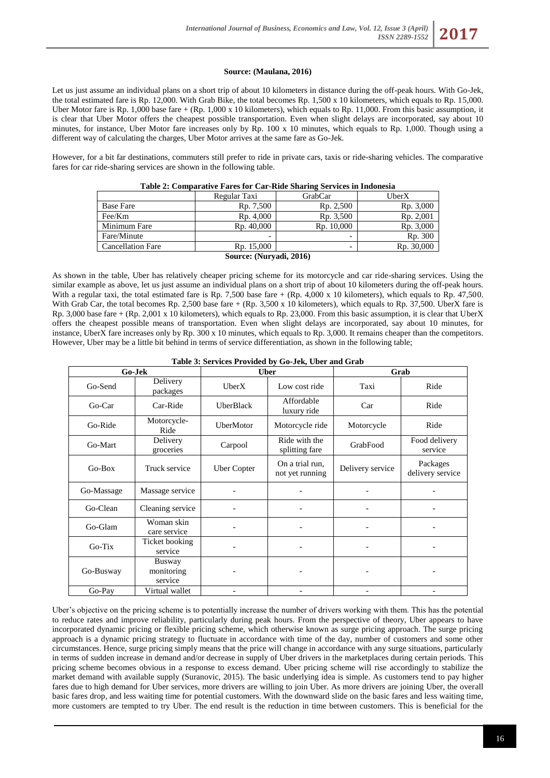### **Source: (Maulana, 2016)**

Let us just assume an individual plans on a short trip of about 10 kilometers in distance during the off-peak hours. With Go-Jek, the total estimated fare is Rp. 12,000. With Grab Bike, the total becomes Rp. 1,500 x 10 kilometers, which equals to Rp. 15,000. Uber Motor fare is Rp. 1,000 base fare  $+(Rp. 1,000 \times 10 \text{ kilometers})$ , which equals to Rp. 11,000. From this basic assumption, it is clear that Uber Motor offers the cheapest possible transportation. Even when slight delays are incorporated, say about 10 minutes, for instance, Uber Motor fare increases only by Rp. 100 x 10 minutes, which equals to Rp. 1,000. Though using a different way of calculating the charges, Uber Motor arrives at the same fare as Go-Jek.

However, for a bit far destinations, commuters still prefer to ride in private cars, taxis or ride-sharing vehicles. The comparative fares for car ride-sharing services are shown in the following table.

|                          | Regular Taxi | GrabCar                  | UberX      |  |  |  |  |  |
|--------------------------|--------------|--------------------------|------------|--|--|--|--|--|
| <b>Base Fare</b>         | Rp. 7,500    | Rp. 2,500                | Rp. 3,000  |  |  |  |  |  |
| Fee/Km                   | Rp. 4,000    | Rp. 3,500                | Rp. 2,001  |  |  |  |  |  |
| Minimum Fare             | Rp. 40,000   | Rp. 10,000               | Rp. 3,000  |  |  |  |  |  |
| Fare/Minute              | -            | $\overline{\phantom{0}}$ | Rp. 300    |  |  |  |  |  |
| <b>Cancellation Fare</b> | Rp. 15,000   | $\overline{\phantom{0}}$ | Rp. 30,000 |  |  |  |  |  |
| Source: (Nurvadi, 2016)  |              |                          |            |  |  |  |  |  |

As shown in the table, Uber has relatively cheaper pricing scheme for its motorcycle and car ride-sharing services. Using the similar example as above, let us just assume an individual plans on a short trip of about 10 kilometers during the off-peak hours. With a regular taxi, the total estimated fare is Rp. 7,500 base fare + (Rp. 4,000 x 10 kilometers), which equals to Rp. 47,500. With Grab Car, the total becomes Rp. 2,500 base fare + (Rp. 3,500 x 10 kilometers), which equals to Rp. 37,500. UberX fare is Rp. 3,000 base fare + (Rp. 2,001 x 10 kilometers), which equals to Rp. 23,000. From this basic assumption, it is clear that UberX offers the cheapest possible means of transportation. Even when slight delays are incorporated, say about 10 minutes, for instance, UberX fare increases only by Rp. 300 x 10 minutes, which equals to Rp. 3,000. It remains cheaper than the competitors. However, Uber may be a little bit behind in terms of service differentiation, as shown in the following table;

### **Table 3: Services Provided by Go-Jek, Uber and Grab**

| Go-Jek     |                                 | <b>Uber</b>        |                                    | Grab             |                              |
|------------|---------------------------------|--------------------|------------------------------------|------------------|------------------------------|
| Go-Send    | Delivery<br>packages            | UberX              | Low cost ride                      | Taxi             | Ride                         |
| Go-Car     | Car-Ride                        | <b>UberBlack</b>   | Affordable<br>luxury ride          | Car              | Ride                         |
| Go-Ride    | Motorcycle-<br>Ride             | UberMotor          | Motorcycle ride                    | Motorcycle       | Ride                         |
| Go-Mart    | Delivery<br>groceries           | Carpool            | Ride with the<br>splitting fare    | GrabFood         | Food delivery<br>service     |
| $Go-Box$   | Truck service                   | <b>Uber Copter</b> | On a trial run,<br>not yet running | Delivery service | Packages<br>delivery service |
| Go-Massage | Massage service                 |                    |                                    |                  |                              |
| Go-Clean   | Cleaning service                |                    |                                    |                  |                              |
| Go-Glam    | Woman skin<br>care service      |                    |                                    |                  |                              |
| Go-Tix     | Ticket booking<br>service       |                    |                                    |                  |                              |
| Go-Busway  | Busway<br>monitoring<br>service |                    |                                    |                  |                              |
| Go-Pay     | Virtual wallet                  |                    |                                    |                  |                              |

Uber's objective on the pricing scheme is to potentially increase the number of drivers working with them. This has the potential to reduce rates and improve reliability, particularly during peak hours. From the perspective of theory, Uber appears to have incorporated dynamic pricing or flexible pricing scheme, which otherwise known as surge pricing approach. The surge pricing approach is a dynamic pricing strategy to fluctuate in accordance with time of the day, number of customers and some other circumstances. Hence, surge pricing simply means that the price will change in accordance with any surge situations, particularly in terms of sudden increase in demand and/or decrease in supply of Uber drivers in the marketplaces during certain periods. This pricing scheme becomes obvious in a response to excess demand. Uber pricing scheme will rise accordingly to stabilize the market demand with available supply (Suranovic, 2015). The basic underlying idea is simple. As customers tend to pay higher fares due to high demand for Uber services, more drivers are willing to join Uber. As more drivers are joining Uber, the overall basic fares drop, and less waiting time for potential customers. With the downward slide on the basic fares and less waiting time, more customers are tempted to try Uber. The end result is the reduction in time between customers. This is beneficial for the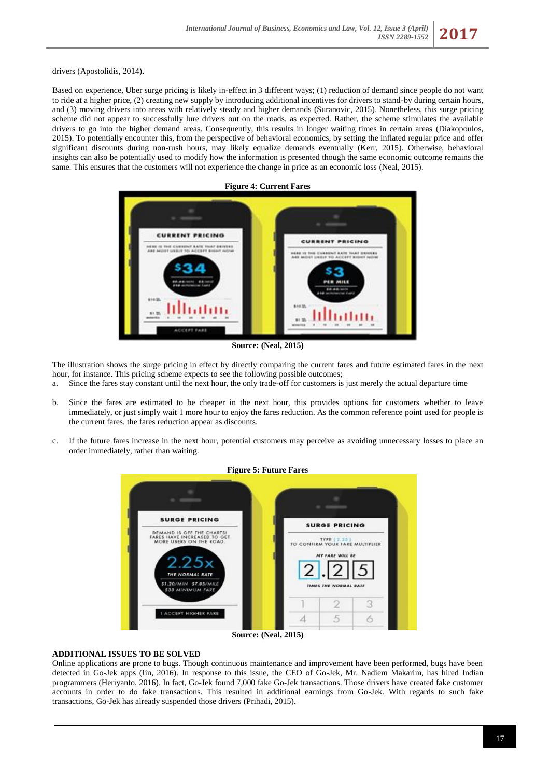drivers (Apostolidis, 2014).

Based on experience, Uber surge pricing is likely in-effect in 3 different ways; (1) reduction of demand since people do not want to ride at a higher price, (2) creating new supply by introducing additional incentives for drivers to stand-by during certain hours, and (3) moving drivers into areas with relatively steady and higher demands (Suranovic, 2015). Nonetheless, this surge pricing scheme did not appear to successfully lure drivers out on the roads, as expected. Rather, the scheme stimulates the available drivers to go into the higher demand areas. Consequently, this results in longer waiting times in certain areas (Diakopoulos, 2015). To potentially encounter this, from the perspective of behavioral economics, by setting the inflated regular price and offer significant discounts during non-rush hours, may likely equalize demands eventually (Kerr, 2015). Otherwise, behavioral insights can also be potentially used to modify how the information is presented though the same economic outcome remains the same. This ensures that the customers will not experience the change in price as an economic loss (Neal, 2015).



**Source: (Neal, 2015)**

The illustration shows the surge pricing in effect by directly comparing the current fares and future estimated fares in the next hour, for instance. This pricing scheme expects to see the following possible outcomes;

a. Since the fares stay constant until the next hour, the only trade-off for customers is just merely the actual departure time

- b. Since the fares are estimated to be cheaper in the next hour, this provides options for customers whether to leave immediately, or just simply wait 1 more hour to enjoy the fares reduction. As the common reference point used for people is the current fares, the fares reduction appear as discounts.
- c. If the future fares increase in the next hour, potential customers may perceive as avoiding unnecessary losses to place an order immediately, rather than waiting.



**Source: (Neal, 2015)**

# **ADDITIONAL ISSUES TO BE SOLVED**

Online applications are prone to bugs. Though continuous maintenance and improvement have been performed, bugs have been detected in Go-Jek apps (Iin, 2016). In response to this issue, the CEO of Go-Jek, Mr. Nadiem Makarim, has hired Indian programmers (Heriyanto, 2016). In fact, Go-Jek found 7,000 fake Go-Jek transactions. Those drivers have created fake customer accounts in order to do fake transactions. This resulted in additional earnings from Go-Jek. With regards to such fake transactions, Go-Jek has already suspended those drivers (Prihadi, 2015).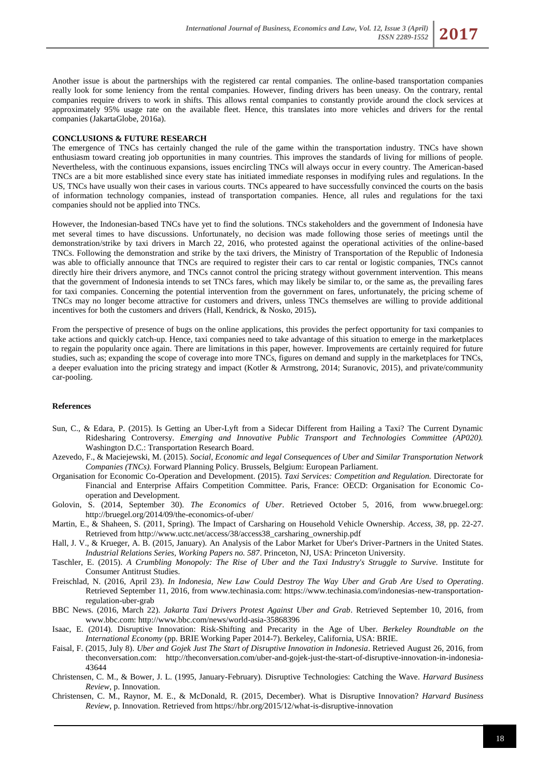Another issue is about the partnerships with the registered car rental companies. The online-based transportation companies really look for some leniency from the rental companies. However, finding drivers has been uneasy. On the contrary, rental companies require drivers to work in shifts. This allows rental companies to constantly provide around the clock services at approximately 95% usage rate on the available fleet. Hence, this translates into more vehicles and drivers for the rental companies (JakartaGlobe, 2016a).

### **CONCLUSIONS & FUTURE RESEARCH**

The emergence of TNCs has certainly changed the rule of the game within the transportation industry. TNCs have shown enthusiasm toward creating job opportunities in many countries. This improves the standards of living for millions of people. Nevertheless, with the continuous expansions, issues encircling TNCs will always occur in every country. The American-based TNCs are a bit more established since every state has initiated immediate responses in modifying rules and regulations. In the US, TNCs have usually won their cases in various courts. TNCs appeared to have successfully convinced the courts on the basis of information technology companies, instead of transportation companies. Hence, all rules and regulations for the taxi companies should not be applied into TNCs.

However, the Indonesian-based TNCs have yet to find the solutions. TNCs stakeholders and the government of Indonesia have met several times to have discussions. Unfortunately, no decision was made following those series of meetings until the demonstration/strike by taxi drivers in March 22, 2016, who protested against the operational activities of the online-based TNCs. Following the demonstration and strike by the taxi drivers, the Ministry of Transportation of the Republic of Indonesia was able to officially announce that TNCs are required to register their cars to car rental or logistic companies, TNCs cannot directly hire their drivers anymore, and TNCs cannot control the pricing strategy without government intervention. This means that the government of Indonesia intends to set TNCs fares, which may likely be similar to, or the same as, the prevailing fares for taxi companies. Concerning the potential intervention from the government on fares, unfortunately, the pricing scheme of TNCs may no longer become attractive for customers and drivers, unless TNCs themselves are willing to provide additional incentives for both the customers and drivers (Hall, Kendrick, & Nosko, 2015)**.**

From the perspective of presence of bugs on the online applications, this provides the perfect opportunity for taxi companies to take actions and quickly catch-up. Hence, taxi companies need to take advantage of this situation to emerge in the marketplaces to regain the popularity once again. There are limitations in this paper, however. Improvements are certainly required for future studies, such as; expanding the scope of coverage into more TNCs, figures on demand and supply in the marketplaces for TNCs, a deeper evaluation into the pricing strategy and impact (Kotler & Armstrong, 2014; Suranovic, 2015), and private/community car-pooling.

#### **References**

- Sun, C., & Edara, P. (2015). Is Getting an Uber-Lyft from a Sidecar Different from Hailing a Taxi? The Current Dynamic Ridesharing Controversy. *Emerging and Innovative Public Transport and Technologies Committee (AP020).* Washington D.C.: Transportation Research Board.
- Azevedo, F., & Maciejewski, M. (2015). *Social, Economic and legal Consequences of Uber and Similar Transportation Network Companies (TNCs).* Forward Planning Policy. Brussels, Belgium: European Parliament.
- Organisation for Economic Co-Operation and Development. (2015). *Taxi Services: Competition and Regulation.* Directorate for Financial and Enterprise Affairs Competition Committee. Paris, France: OECD: Organisation for Economic Cooperation and Development.
- Golovin, S. (2014, September 30). *The Economics of Uber*. Retrieved October 5, 2016, from www.bruegel.org: http://bruegel.org/2014/09/the-economics-of-uber/
- Martin, E., & Shaheen, S. (2011, Spring). The Impact of Carsharing on Household Vehicle Ownership. *Access, 38*, pp. 22-27. Retrieved from http://www.uctc.net/access/38/access38\_carsharing\_ownership.pdf
- Hall, J. V., & Krueger, A. B. (2015, January). An Analysis of the Labor Market for Uber's Driver-Partners in the United States. *Industrial Relations Series, Working Papers no. 587*. Princeton, NJ, USA: Princeton University.
- Taschler, E. (2015). *A Crumbling Monopoly: The Rise of Uber and the Taxi Industry's Struggle to Survive.* Institute for Consumer Antitrust Studies.
- Freischlad, N. (2016, April 23). *In Indonesia, New Law Could Destroy The Way Uber and Grab Are Used to Operating*. Retrieved September 11, 2016, from www.techinasia.com: https://www.techinasia.com/indonesias-new-transportationregulation-uber-grab
- BBC News. (2016, March 22). *Jakarta Taxi Drivers Protest Against Uber and Grab*. Retrieved September 10, 2016, from www.bbc.com: http://www.bbc.com/news/world-asia-35868396
- Isaac, E. (2014). Disruptive Innovation: Risk-Shifting and Precarity in the Age of Uber. *Berkeley Roundtable on the International Economy* (pp. BRIE Working Paper 2014-7). Berkeley, California, USA: BRIE.
- Faisal, F. (2015, July 8). *Uber and Gojek Just The Start of Disruptive Innovation in Indonesia*. Retrieved August 26, 2016, from theconversation.com: http://theconversation.com/uber-and-gojek-just-the-start-of-disruptive-innovation-in-indonesia-43644
- Christensen, C. M., & Bower, J. L. (1995, January-February). Disruptive Technologies: Catching the Wave. *Harvard Business Review*, p. Innovation.
- Christensen, C. M., Raynor, M. E., & McDonald, R. (2015, December). What is Disruptive Innovation? *Harvard Business Review*, p. Innovation. Retrieved from https://hbr.org/2015/12/what-is-disruptive-innovation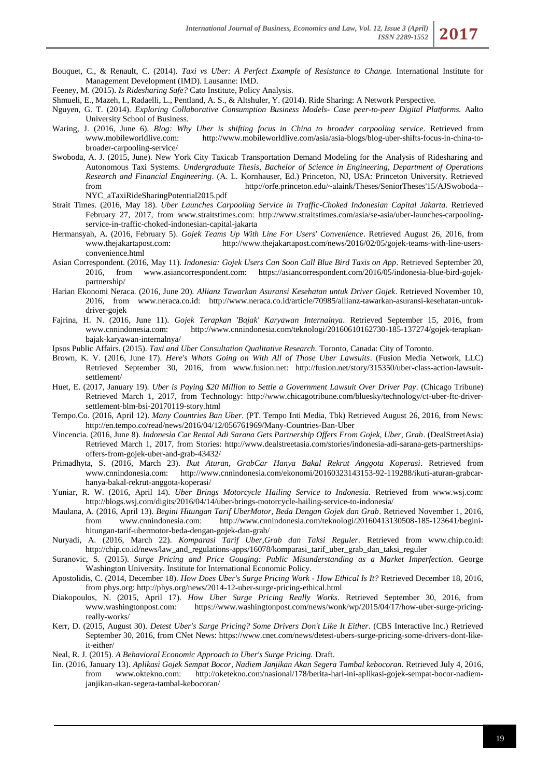- Bouquet, C., & Renault, C. (2014). *Taxi vs Uber: A Perfect Example of Resistance to Change.* International Institute for Management Development (IMD). Lausanne: IMD.
- Feeney, M. (2015). *Is Ridesharing Safe?* Cato Institute, Policy Analysis.
- Shmueli, E., Mazeh, I., Radaelli, L., Pentland, A. S., & Altshuler, Y. (2014). Ride Sharing: A Network Perspective.
- Nguyen, G. T. (2014). *Exploring Collaborative Consumption Business Models- Case peer-to-peer Digital Platforms.* Aalto University School of Business.
- Waring, J. (2016, June 6). *Blog: Why Uber is shifting focus in China to broader carpooling service*. Retrieved from http://www.mobileworldlive.com/asia/asia-blogs/blog-uber-shifts-focus-in-china-tobroader-carpooling-service/
- Swoboda, A. J. (2015, June). New York City Taxicab Transportation Demand Modeling for the Analysis of Ridesharing and Autonomous Taxi Systems. *Undergraduate Thesis, Bachelor of Science in Engineering, Department of Operations Research and Financial Engineering*. (A. L. Kornhauser, Ed.) Princeton, NJ, USA: Princeton University. Retrieved from http://orfe.princeton.edu/~alaink/Theses/SeniorTheses'15/AJSwoboda-- NYC\_aTaxiRideSharingPotential2015.pdf
- Strait Times. (2016, May 18). *Uber Launches Carpooling Service in Traffic-Choked Indonesian Capital Jakarta*. Retrieved February 27, 2017, from www.straitstimes.com: http://www.straitstimes.com/asia/se-asia/uber-launches-carpoolingservice-in-traffic-choked-indonesian-capital-jakarta
- Hermansyah, A. (2016, February 5). *Gojek Teams Up With Line For Users' Convenience*. Retrieved August 26, 2016, from www.thejakartapost.com: http://www.thejakartapost.com/news/2016/02/05/gojek-teams-with-line-usersconvenience.html
- Asian Correspondent. (2016, May 11). *Indonesia: Gojek Users Can Soon Call Blue Bird Taxis on App*. Retrieved September 20, 2016, from www.asiancorrespondent.com: https://asiancorrespondent.com/2016/05/indonesia-blue-bird-gojekpartnership/
- Harian Ekonomi Neraca. (2016, June 20). *Allianz Tawarkan Asuransi Kesehatan untuk Driver Gojek*. Retrieved November 10, 2016, from www.neraca.co.id: http://www.neraca.co.id/article/70985/allianz-tawarkan-asuransi-kesehatan-untukdriver-gojek
- Fajrina, H. N. (2016, June 11). *Gojek Terapkan 'Bajak' Karyawan Internalnya*. Retrieved September 15, 2016, from www.cnnindonesia.com: http://www.cnnindonesia.com/teknologi/20160610162730-185-137274/gojek-terapkanbajak-karyawan-internalnya/
- Ipsos Public Affairs. (2015). *Taxi and Uber Consultation Qualitative Research.* Toronto, Canada: City of Toronto.
- Brown, K. V. (2016, June 17). *Here's Whats Going on With All of Those Uber Lawsuits*. (Fusion Media Network, LLC) Retrieved September 30, 2016, from www.fusion.net: http://fusion.net/story/315350/uber-class-action-lawsuitsettlement/
- Huet, E. (2017, January 19). *Uber is Paying \$20 Million to Settle a Government Lawsuit Over Driver Pay*. (Chicago Tribune) Retrieved March 1, 2017, from Technology: http://www.chicagotribune.com/bluesky/technology/ct-uber-ftc-driversettlement-blm-bsi-20170119-story.html
- Tempo.Co. (2016, April 12). *Many Countries Ban Uber*. (PT. Tempo Inti Media, Tbk) Retrieved August 26, 2016, from News: http://en.tempo.co/read/news/2016/04/12/056761969/Many-Countries-Ban-Uber
- Vincencia. (2016, June 8). *Indonesia Car Rental Adi Sarana Gets Partnership Offers From Gojek, Uber, Grab*. (DealStreetAsia) Retrieved March 1, 2017, from Stories: http://www.dealstreetasia.com/stories/indonesia-adi-sarana-gets-partnershipsoffers-from-gojek-uber-and-grab-43432/
- Primadhyta, S. (2016, March 23). *Ikut Aturan, GrabCar Hanya Bakal Rekrut Anggota Koperasi*. Retrieved from www.cnnindonesia.com: http://www.cnnindonesia.com/ekonomi/20160323143153-92-119288/ikuti-aturan-grabcarhanya-bakal-rekrut-anggota-koperasi/
- Yuniar, R. W. (2016, April 14). *Uber Brings Motorcycle Hailing Service to Indonesia*. Retrieved from www.wsj.com: http://blogs.wsj.com/digits/2016/04/14/uber-brings-motorcycle-hailing-service-to-indonesia/
- Maulana, A. (2016, April 13). *Begini Hitungan Tarif UberMotor, Beda Dengan Gojek dan Grab*. Retrieved November 1, 2016, from www.cnnindonesia.com: http://www.cnnindonesia.com/teknologi/20160413130508-185-123641/beginihitungan-tarif-ubermotor-beda-dengan-gojek-dan-grab/
- Nuryadi, A. (2016, March 22). *Komparasi Tarif Uber,Grab dan Taksi Reguler*. Retrieved from www.chip.co.id: http://chip.co.id/news/law\_and\_regulations-apps/16078/komparasi\_tarif\_uber\_grab\_dan\_taksi\_reguler
- Suranovic, S. (2015). *Surge Pricing and Price Gouging: Public Misunderstanding as a Market Imperfection.* George Washington University. Institute for International Economic Policy.
- Apostolidis, C. (2014, December 18). *How Does Uber's Surge Pricing Work - How Ethical Is It?* Retrieved December 18, 2016, from phys.org: http://phys.org/news/2014-12-uber-surge-pricing-ethical.html
- Diakopoulos, N. (2015, April 17). *How Uber Surge Pricing Really Works*. Retrieved September 30, 2016, from www.washingtonpost.com: https://www.washingtonpost.com/news/wonk/wp/2015/04/17/how-uber-surge-pricingreally-works/
- Kerr, D. (2015, August 30). *Detest Uber's Surge Pricing? Some Drivers Don't Like It Either*. (CBS Interactive Inc.) Retrieved September 30, 2016, from CNet News: https://www.cnet.com/news/detest-ubers-surge-pricing-some-drivers-dont-likeit-either/
- Neal, R. J. (2015). *A Behavioral Economic Approach to Uber's Surge Pricing.* Draft.
- Iin. (2016, January 13). *Aplikasi Gojek Sempat Bocor, Nadiem Janjikan Akan Segera Tambal kebocoran*. Retrieved July 4, 2016, from www.oktekno.com: http://oketekno.com/nasional/178/berita-hari-ini-aplikasi-gojek-sempat-bocor-nadiemjanjikan-akan-segera-tambal-kebocoran/